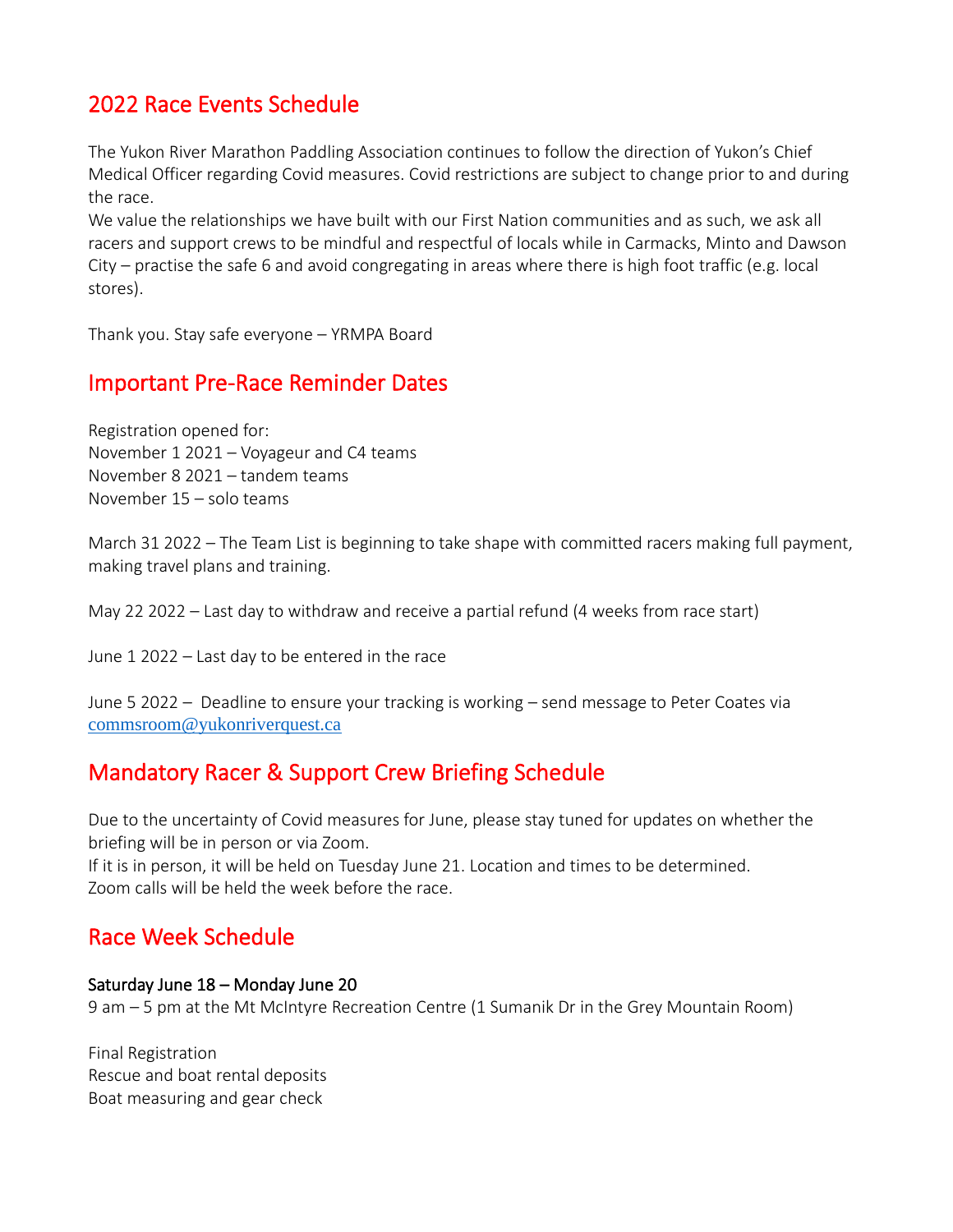## 2022 Race Events Schedule

The Yukon River Marathon Paddling Association continues to follow the direction of Yukon's Chief Medical Officer regarding Covid measures. Covid restrictions are subject to change prior to and during the race.

We value the relationships we have built with our First Nation communities and as such, we ask all racers and support crews to be mindful and respectful of locals while in Carmacks, Minto and Dawson City – practise the safe 6 and avoid congregating in areas where there is high foot traffic (e.g. local stores).

Thank you. Stay safe everyone – YRMPA Board

### Important Pre-Race Reminder Dates

Registration opened for: November 1 2021 – Voyageur and C4 teams November 8 2021 – tandem teams November 15 – solo teams

March 31 2022 – The Team List is beginning to take shape with committed racers making full payment, making travel plans and training.

May 22 2022 – Last day to withdraw and receive a partial refund (4 weeks from race start)

June 1 2022 – Last day to be entered in the race

June 5 2022 – Deadline to ensure your tracking is working – send message to Peter Coates via [commsroom@yukonriverquest.ca](mailto:commsroom@yukonriverquest.ca)

### Mandatory Racer & Support Crew Briefing Schedule

Due to the uncertainty of Covid measures for June, please stay tuned for updates on whether the briefing will be in person or via Zoom.

If it is in person, it will be held on Tuesday June 21. Location and times to be determined. Zoom calls will be held the week before the race.

### Race Week Schedule

#### Saturday June 18 – Monday June 20

9 am – 5 pm at the Mt McIntyre Recreation Centre (1 Sumanik Dr in the Grey Mountain Room)

Final Registration Rescue and boat rental deposits Boat measuring and gear check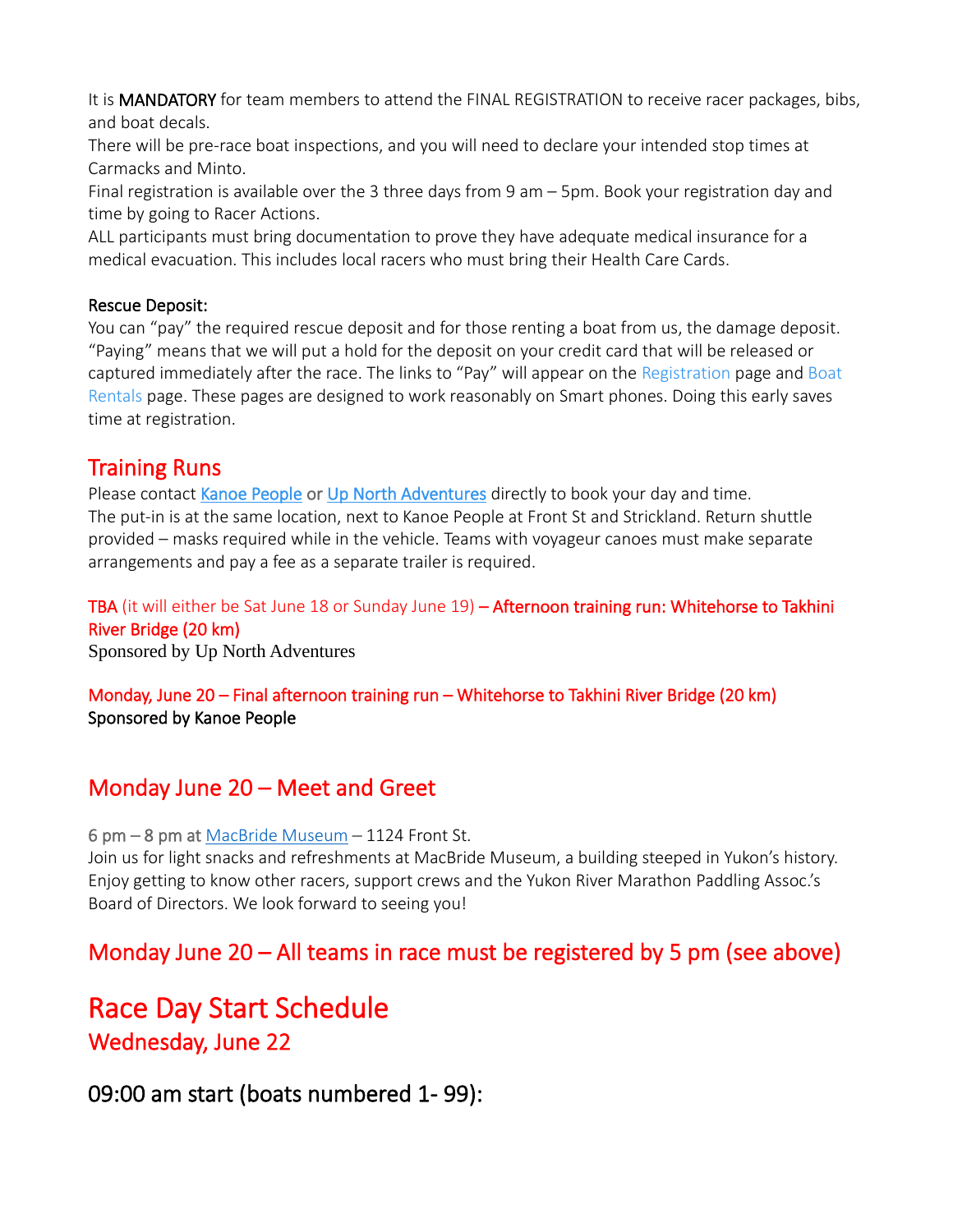It is **MANDATORY** for team members to attend the FINAL REGISTRATION to receive racer packages, bibs, and boat decals.

There will be pre-race boat inspections, and you will need to declare your intended stop times at Carmacks and Minto.

Final registration is available over the 3 three days from 9 am – 5pm. Book your registration day and time by going to [Racer Actions.](https://yukonriverquest.ca/yrq/app/entry8/user.php?race=22yrq)

ALL participants must bring documentation to prove they have adequate medical insurance for a medical evacuation. This includes local racers who must bring their Health Care Cards.

#### Rescue Deposit:

You can "pay" the required rescue deposit and for those renting a boat from us, the damage deposit. "Paying" means that we will put a hold for the deposit on your credit card that will be released or captured immediately after the race. The links to "Pay" will appear on the [Registration](https://yukonriverquest.ca/yrq/app/entry8/register.php) page and [Boat](https://yukonriverquest.ca/yrq/app/entry8/boatRentalLogin.php)  [Rentals](https://yukonriverquest.ca/yrq/app/entry8/boatRentalLogin.php) page. These pages are designed to work reasonably on Smart phones. Doing this early saves time at registration.

### Training Runs

Please contact [Kanoe People](https://www.kanoepeople.com/) or [Up North Adventures](https://upnorthadventures.com/) directly to book your day and time. The put-in is at the same location, next to Kanoe People at Front St and Strickland. Return shuttle provided – masks required while in the vehicle. Teams with voyageur canoes must make separate arrangements and pay a fee as a separate trailer is required.

### TBA (it will either be Sat June 18 or Sunday June 19) - Afternoon training run: Whitehorse to Takhini River Bridge (20 km)

Sponsored by [Up North Adventures](https://upnorthadventures.com/)

Monday, June 20 – Final afternoon training run – Whitehorse to Takhini River Bridge (20 km) Sponsored by [Kanoe People](https://www.kanoepeople.com/)

## Monday June 20 – Meet and Greet

6 pm – 8 pm at [MacBride Museum](https://macbridemuseum.com/) – 1124 Front St.

Join us for light snacks and refreshments at MacBride Museum, a building steeped in Yukon's history. Enjoy getting to know other racers, support crews and the Yukon River Marathon Paddling Assoc.'s Board of Directors. We look forward to seeing you!

## Monday June 20 – All teams in race must be registered by 5 pm (see above)

# Race Day Start Schedule Wednesday, June 22

## 09:00 am start (boats numbered 1- 99):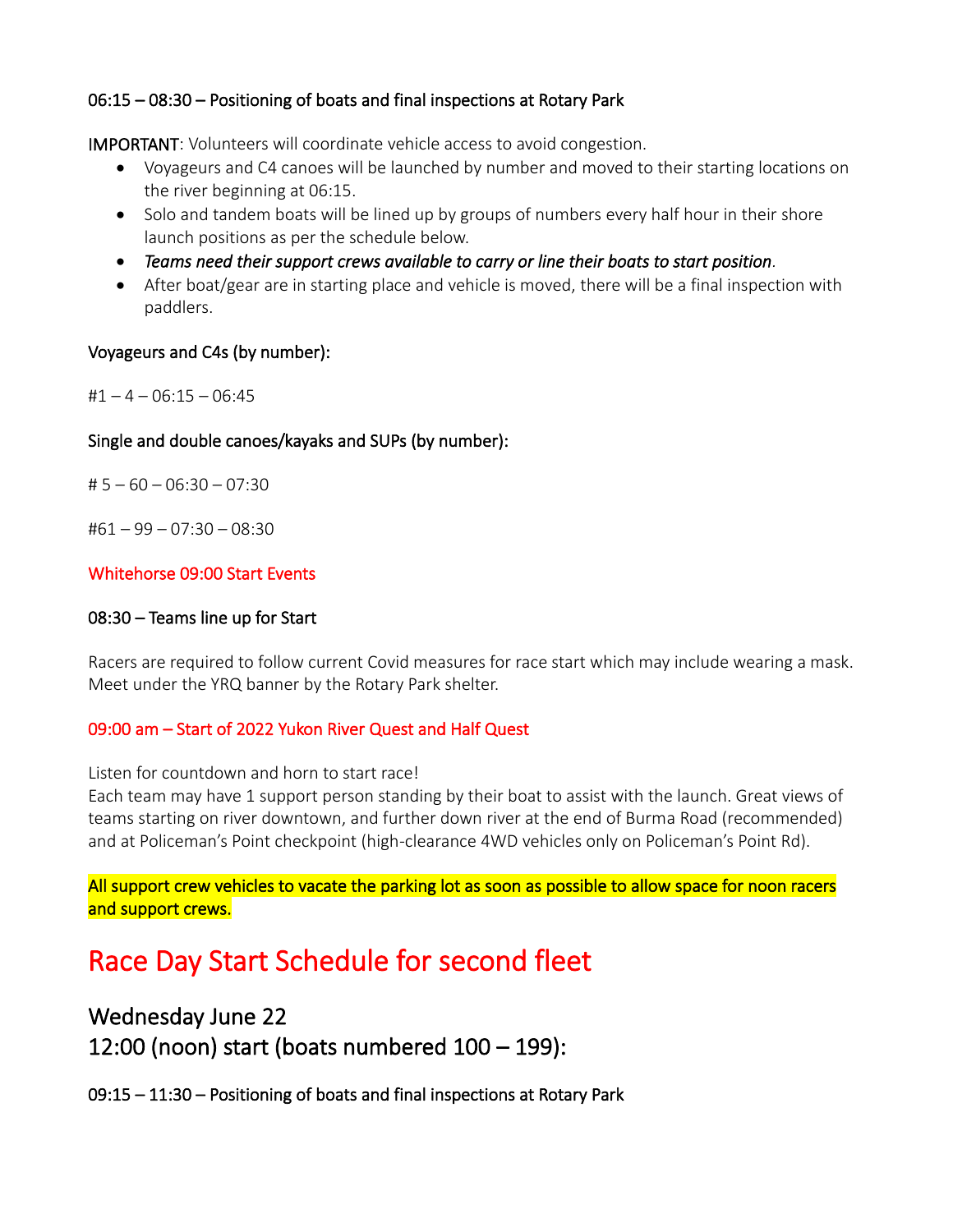#### 06:15 – 08:30 – Positioning of boats and final inspections at Rotary Park

IMPORTANT: Volunteers will coordinate vehicle access to avoid congestion.

- Voyageurs and C4 canoes will be launched by number and moved to their starting locations on the river beginning at 06:15.
- Solo and tandem boats will be lined up by groups of numbers every half hour in their shore launch positions as per the schedule below.
- *Teams need their support crews available to carry or line their boats to start position.*
- After boat/gear are in starting place and vehicle is moved, there will be a final inspection with paddlers.

#### Voyageurs and C4s (by number):

 $#1 - 4 - 06:15 - 06:45$ 

#### Single and double canoes/kayaks and SUPs (by number):

# 5 – 60 – 06:30 – 07:30

#61 – 99 – 07:30 – 08:30

#### Whitehorse 09:00 Start Events

#### 08:30 – Teams line up for Start

Racers are required to follow current Covid measures for race start which may include wearing a mask. Meet under the YRQ banner by the Rotary Park shelter.

#### 09:00 am – Start of 2022 Yukon River Quest and Half Quest

Listen for countdown and horn to start race!

Each team may have 1 support person standing by their boat to assist with the launch. Great views of teams starting on river downtown, and further down river at the end of Burma Road (recommended) and at Policeman's Point checkpoint (high-clearance 4WD vehicles only on Policeman's Point Rd).

All support crew vehicles to vacate the parking lot as soon as possible to allow space for noon racers and support crews.

# Race Day Start Schedule for second fleet

### Wednesday June 22

12:00 (noon) start (boats numbered 100 – 199):

09:15 – 11:30 – Positioning of boats and final inspections at Rotary Park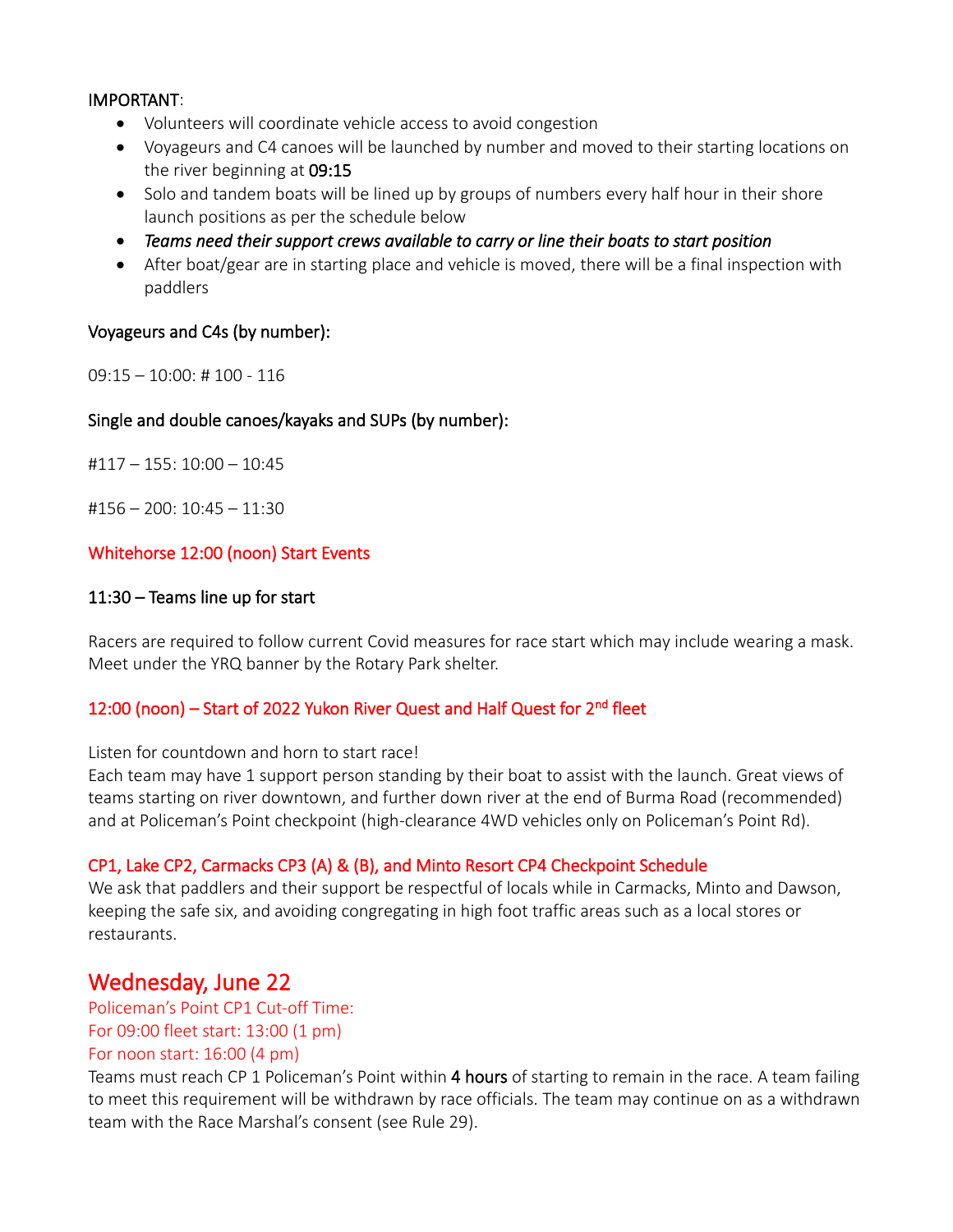#### IMPORTANT:

- Volunteers will coordinate vehicle access to avoid congestion
- Voyageurs and C4 canoes will be launched by number and moved to their starting locations on the river beginning at 09:15
- Solo and tandem boats will be lined up by groups of numbers every half hour in their shore launch positions as per the schedule below
- *Teams need their support crews available to carry or line their boats to start position*
- After boat/gear are in starting place and vehicle is moved, there will be a final inspection with paddlers

#### Voyageurs and C4s (by number):

09:15 – 10:00: # 100 - 116

#### Single and double canoes/kayaks and SUPs (by number):

#117 – 155: 10:00 – 10:45

 $\text{\#156} - 200$ : 10:45 – 11:30

#### Whitehorse 12:00 (noon) Start Events

#### 11:30 – Teams line up for start

Racers are required to follow current Covid measures for race start which may include wearing a mask. Meet under the YRQ banner by the Rotary Park shelter.

#### 12:00 (noon) – Start of 2022 Yukon River Quest and Half Quest for 2<sup>nd</sup> fleet

Listen for countdown and horn to start race!

Each team may have 1 support person standing by their boat to assist with the launch. Great views of teams starting on river downtown, and further down river at the end of Burma Road (recommended) and at Policeman's Point checkpoint (high-clearance 4WD vehicles only on Policeman's Point Rd).

#### CP1, Lake CP2, Carmacks CP3 (A) & (B), and Minto Resort CP4 Checkpoint Schedule

We ask that paddlers and their support be respectful of locals while in Carmacks, Minto and Dawson, keeping the safe six, and avoiding congregating in high foot traffic areas such as a local stores or restaurants.

### Wednesday, June 22

Policeman's Point CP1 Cut-off Time: For 09:00 fleet start: 13:00 (1 pm)

#### For noon start: 16:00 (4 pm)

Teams must reach CP 1 Policeman's Point within 4 hours of starting to remain in the race. A team failing to meet this requirement will be withdrawn by race officials. The team may continue on as a withdrawn team with the Race Marshal's consent (see Rule 29).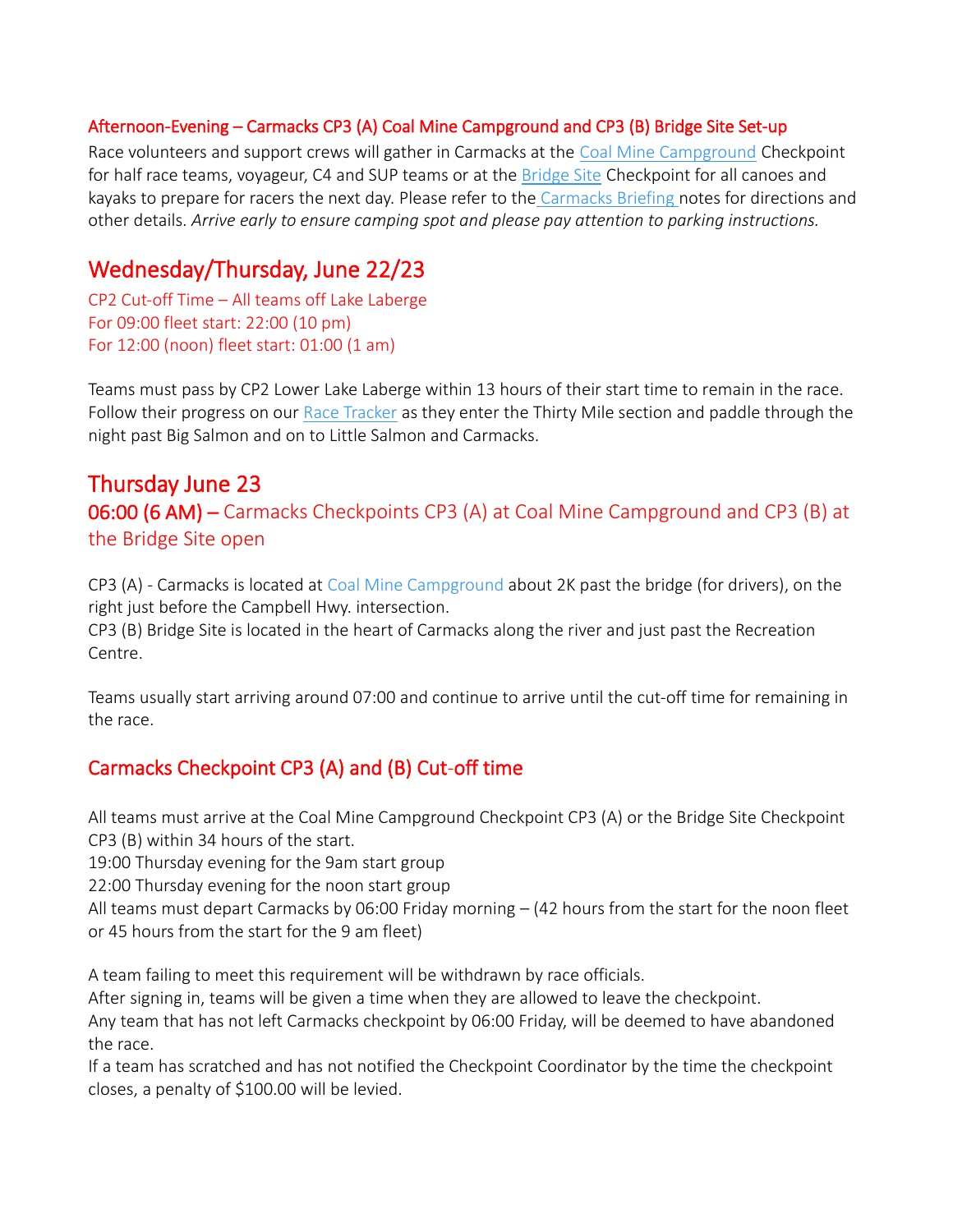#### Afternoon-Evening – Carmacks CP3 (A) Coal Mine Campground and CP3 (B) Bridge Site Set-up

Race volunteers and support crews will gather in Carmacks at the [Coal Mine Campground](https://www.yukonriverquest.com/wp-content/uploads/2022/04/Coal-Mine-Briefing-Notes-Apr-1-2022-FINAL.pdf) Checkpoint for half race teams, voyageur, C4 and SUP teams or at the [Bridge Site](https://www.yukonriverquest.com/wp-content/uploads/2022/04/Bridge-Site-Briefing-notes-FINAL-Apr-1-2022.pdf) Checkpoint for all canoes and kayaks to prepare for racers the next day. Please refer to the [Carmacks Briefing](https://www.yukonriverquest.com/information-for-racers-support-crews-2/) notes for directions and other details. *Arrive early to ensure camping spot and please pay attention to parking instructions.*

### Wednesday/Thursday, June 22/23

CP2 Cut-off Time – All teams off Lake Laberge For 09:00 fleet start: 22:00 (10 pm) For 12:00 (noon) fleet start: 01:00 (1 am)

Teams must pass by CP2 Lower Lake Laberge within 13 hours of their start time to remain in the race. Follow their progress on our [Race Tracker](https://yukonriverquest.ca/yrq/app/entry7/tracker_results.php?race=18yrq) as they enter the Thirty Mile section and paddle through the night past Big Salmon and on to Little Salmon and Carmacks.

## Thursday June 23 06:00 (6 AM) – Carmacks Checkpoints CP3 (A) at Coal Mine Campground and CP3 (B) at the Bridge Site open

CP3 (A) - Carmacks is located at [Coal Mine Campground](http://www.coalminecampground.com/) about 2K past the bridge (for drivers), on the right just before the Campbell Hwy. intersection.

CP3 (B) Bridge Site is located in the heart of Carmacks along the river and just past the Recreation Centre.

Teams usually start arriving around 07:00 and continue to arrive until the cut-off time for remaining in the race.

### Carmacks Checkpoint CP3 (A) and (B) Cut-off time

All teams must arrive at the Coal Mine Campground Checkpoint CP3 (A) or the Bridge Site Checkpoint CP3 (B) within 34 hours of the start.

19:00 Thursday evening for the 9am start group

22:00 Thursday evening for the noon start group

All teams must depart Carmacks by 06:00 Friday morning  $-$  (42 hours from the start for the noon fleet or 45 hours from the start for the 9 am fleet)

A team failing to meet this requirement will be withdrawn by race officials.

After signing in, teams will be given a time when they are allowed to leave the checkpoint.

Any team that has not left Carmacks checkpoint by 06:00 Friday, will be deemed to have abandoned the race.

If a team has scratched and has not notified the Checkpoint Coordinator by the time the checkpoint closes, a penalty of \$100.00 will be levied.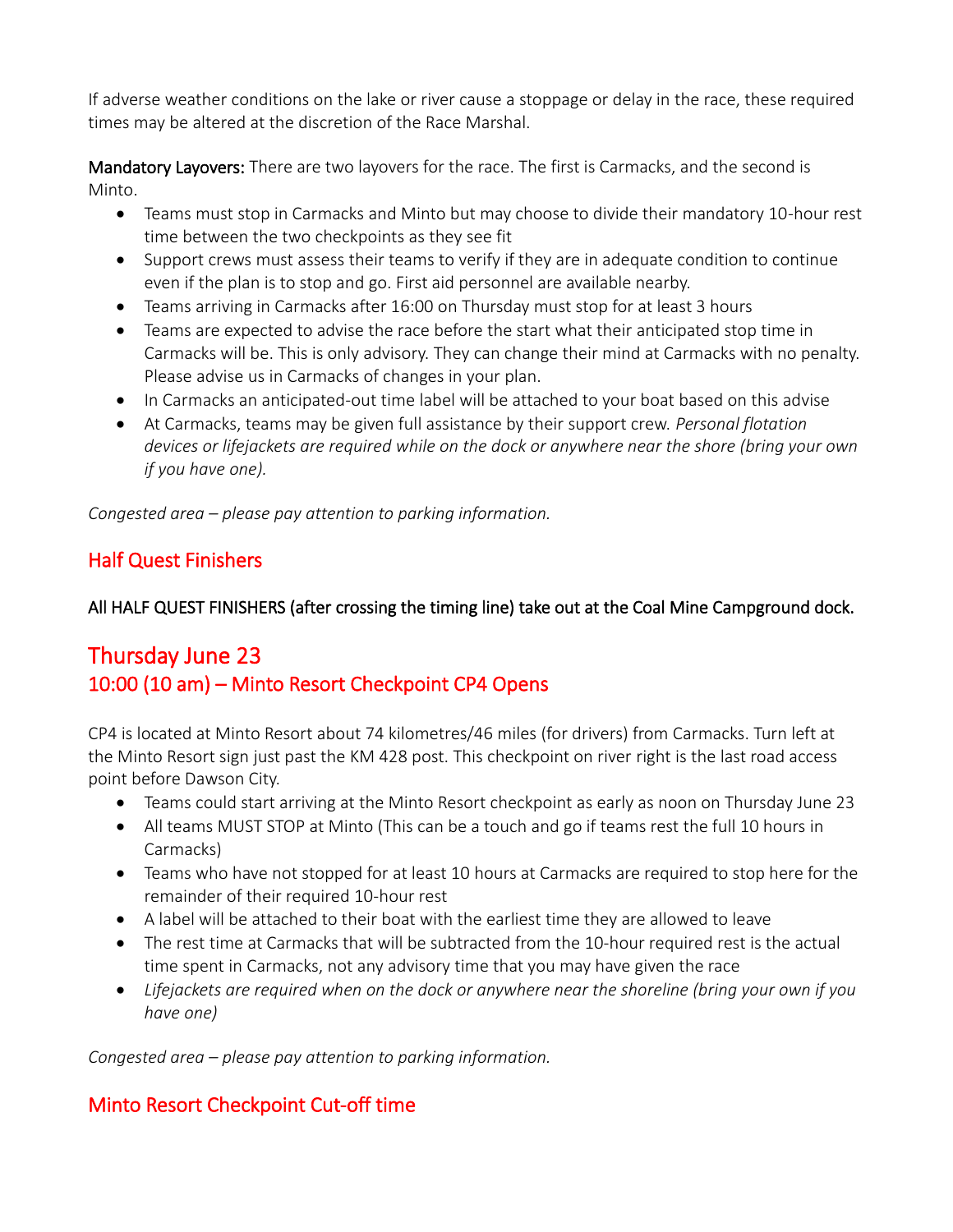If adverse weather conditions on the lake or river cause a stoppage or delay in the race, these required times may be altered at the discretion of the Race Marshal.

Mandatory Layovers: There are two layovers for the race. The first is Carmacks, and the second is Minto.

- Teams must stop in Carmacks and Minto but may choose to divide their mandatory 10-hour rest time between the two checkpoints as they see fit
- Support crews must assess their teams to verify if they are in adequate condition to continue even if the plan is to stop and go. First aid personnel are available nearby.
- Teams arriving in Carmacks after 16:00 on Thursday must stop for at least 3 hours
- Teams are expected to advise the race before the start what their anticipated stop time in Carmacks will be. This is only advisory. They can change their mind at Carmacks with no penalty. Please advise us in Carmacks of changes in your plan.
- In Carmacks an anticipated-out time label will be attached to your boat based on this advise
- At Carmacks, teams may be given full assistance by their support crew. *Personal flotation devices or lifejackets are required while on the dock or anywhere near the shore (bring your own if you have one).*

*Congested area – please pay attention to parking information.*

### Half Quest Finishers

### All HALF QUEST FINISHERS (after crossing the timing line) take out at the Coal Mine Campground dock.

## Thursday June 23 10:00 (10 am) – Minto Resort Checkpoint CP4 Opens

CP4 is located at Minto Resort about 74 kilometres/46 miles (for drivers) from Carmacks. Turn left at the Minto Resort sign just past the KM 428 post. This checkpoint on river right is the last road access point before Dawson City.

- Teams could start arriving at the Minto Resort checkpoint as early as noon on Thursday June 23
- All teams MUST STOP at Minto (This can be a touch and go if teams rest the full 10 hours in Carmacks)
- Teams who have not stopped for at least 10 hours at Carmacks are required to stop here for the remainder of their required 10-hour rest
- A label will be attached to their boat with the earliest time they are allowed to leave
- The rest time at Carmacks that will be subtracted from the 10-hour required rest is the actual time spent in Carmacks, not any advisory time that you may have given the race
- *Lifejackets are required when on the dock or anywhere near the shoreline (bring your own if you have one)*

*Congested area – please pay attention to parking information.*

### Minto Resort Checkpoint Cut-off time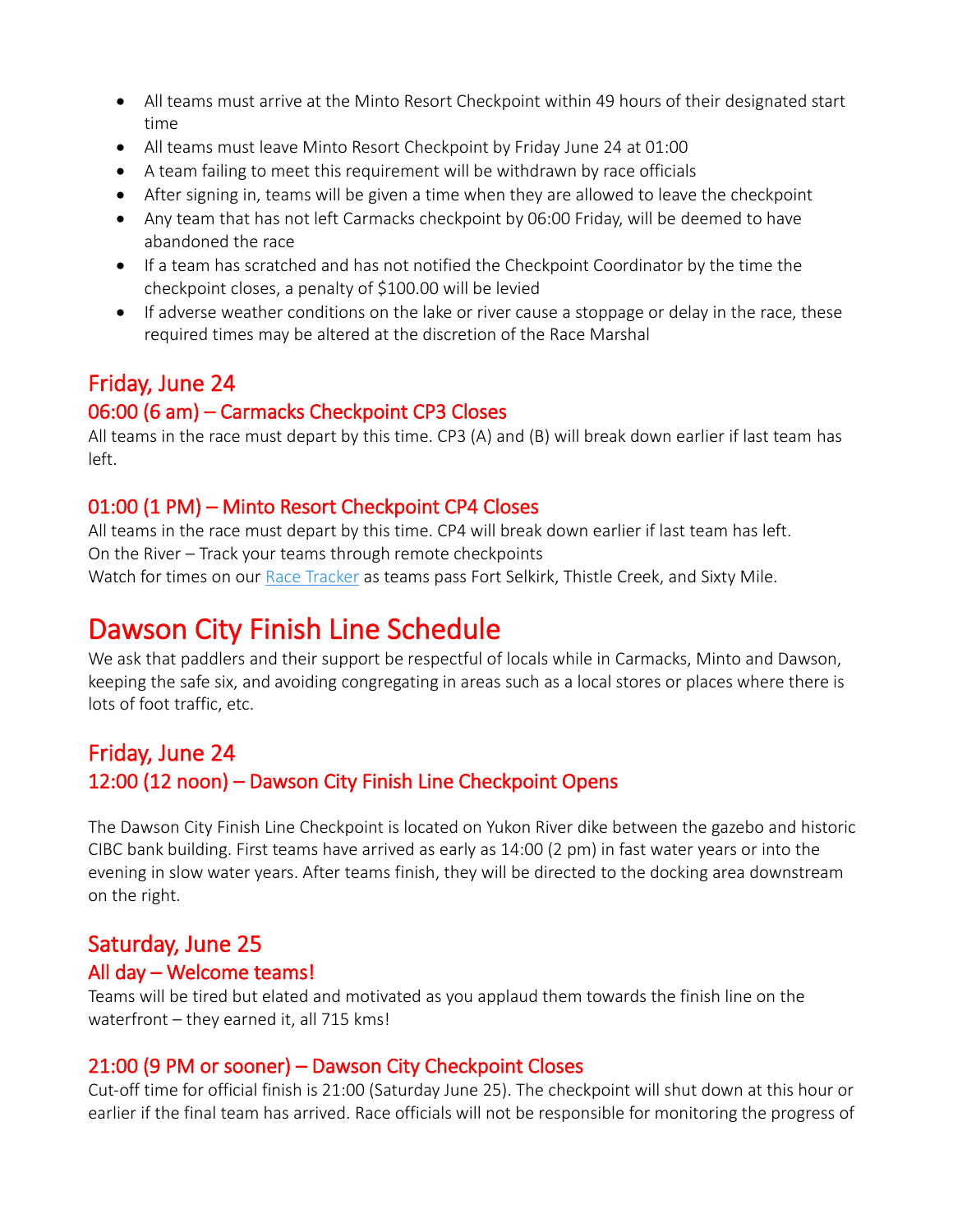- All teams must arrive at the Minto Resort Checkpoint within 49 hours of their designated start time
- All teams must leave Minto Resort Checkpoint by Friday June 24 at 01:00
- A team failing to meet this requirement will be withdrawn by race officials
- After signing in, teams will be given a time when they are allowed to leave the checkpoint
- Any team that has not left Carmacks checkpoint by 06:00 Friday, will be deemed to have abandoned the race
- If a team has scratched and has not notified the Checkpoint Coordinator by the time the checkpoint closes, a penalty of \$100.00 will be levied
- If adverse weather conditions on the lake or river cause a stoppage or delay in the race, these required times may be altered at the discretion of the Race Marshal

## Friday, June 24

### 06:00 (6 am) – Carmacks Checkpoint CP3 Closes

All teams in the race must depart by this time. CP3 (A) and (B) will break down earlier if last team has left.

### 01:00 (1 PM) – Minto Resort Checkpoint CP4 Closes

All teams in the race must depart by this time. CP4 will break down earlier if last team has left. On the River – Track your teams through remote checkpoints Watch for times on our [Race Tracker](https://yukonriverquest.ca/yrq/app/entry7/tracker_results.php?race=18yrq) as teams pass Fort Selkirk, Thistle Creek, and Sixty Mile.

# Dawson City Finish Line Schedule

We ask that paddlers and their support be respectful of locals while in Carmacks, Minto and Dawson, keeping the safe six, and avoiding congregating in areas such as a local stores or places where there is lots of foot traffic, etc.

## Friday, June 24 12:00 (12 noon) – Dawson City Finish Line Checkpoint Opens

The Dawson City Finish Line Checkpoint is located on Yukon River dike between the gazebo and historic CIBC bank building. First teams have arrived as early as 14:00 (2 pm) in fast water years or into the evening in slow water years. After teams finish, they will be directed to the docking area downstream on the right.

### Saturday, June 25

### All day – Welcome teams!

Teams will be tired but elated and motivated as you applaud them towards the finish line on the waterfront – they earned it, all 715 kms!

### 21:00 (9 PM or sooner) – Dawson City Checkpoint Closes

Cut-off time for official finish is 21:00 (Saturday June 25). The checkpoint will shut down at this hour or earlier if the final team has arrived. Race officials will not be responsible for monitoring the progress of